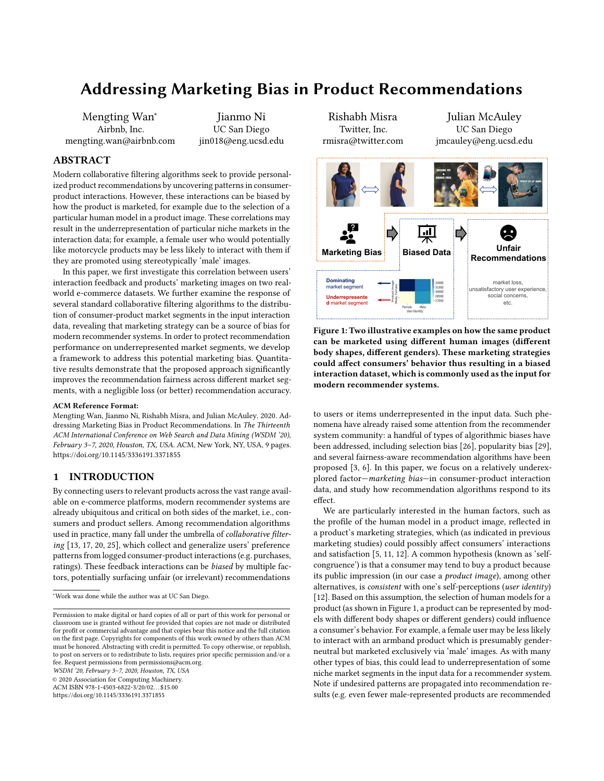# <span id="page-0-1"></span>Addressing Marketing Bias in Product Recommendations

Mengting Wan<sup>∗</sup> Airbnb, Inc. mengting.wan@airbnb.com

Jianmo Ni UC San Diego jin018@eng.ucsd.edu

### ABSTRACT

Modern collaborative filtering algorithms seek to provide personalized product recommendations by uncovering patterns in consumerproduct interactions. However, these interactions can be biased by how the product is marketed, for example due to the selection of a particular human model in a product image. These correlations may result in the underrepresentation of particular niche markets in the interaction data; for example, a female user who would potentially like motorcycle products may be less likely to interact with them if they are promoted using stereotypically 'male' images.

In this paper, we first investigate this correlation between users' interaction feedback and products' marketing images on two realworld e-commerce datasets. We further examine the response of several standard collaborative filtering algorithms to the distribution of consumer-product market segments in the input interaction data, revealing that marketing strategy can be a source of bias for modern recommender systems. In order to protect recommendation performance on underrepresented market segments, we develop a framework to address this potential marketing bias. Quantitative results demonstrate that the proposed approach significantly improves the recommendation fairness across different market segments, with a negligible loss (or better) recommendation accuracy.

#### ACM Reference Format:

Mengting Wan, Jianmo Ni, Rishabh Misra, and Julian McAuley. 2020. Addressing Marketing Bias in Product Recommendations. In The Thirteenth ACM International Conference on Web Search and Data Mining (WSDM '20), February 3–7, 2020, Houston, TX, USA. ACM, New York, NY, USA, [9](#page-8-0) pages. <https://doi.org/10.1145/3336191.3371855>

#### 1 INTRODUCTION

By connecting users to relevant products across the vast range available on e-commerce platforms, modern recommender systems are already ubiquitous and critical on both sides of the market, i.e., consumers and product sellers. Among recommendation algorithms used in practice, many fall under the umbrella of collaborative filtering [\[13,](#page-8-1) [17,](#page-8-2) [20,](#page-8-3) [25\]](#page-8-4), which collect and generalize users' preference patterns from logged consumer-product interactions (e.g. purchases, ratings). These feedback interactions can be biased by multiple factors, potentially surfacing unfair (or irrelevant) recommendations

WSDM '20, February 3–7, 2020, Houston, TX, USA

© 2020 Association for Computing Machinery.

ACM ISBN 978-1-4503-6822-3/20/02. . . \$15.00

<https://doi.org/10.1145/3336191.3371855>

<span id="page-0-0"></span>

Figure 1: Two illustrative examples on how the same product can be marketed using different human images (different body shapes, different genders). These marketing strategies could affect consumers' behavior thus resulting in a biased interaction dataset, which is commonly used as the input for modern recommender systems.

to users or items underrepresented in the input data. Such phenomena have already raised some attention from the recommender system community: a handful of types of algorithmic biases have been addressed, including selection bias [\[26\]](#page-8-5), popularity bias [\[29\]](#page-8-6), and several fairness-aware recommendation algorithms have been proposed [\[3,](#page-8-7) [6\]](#page-8-8). In this paper, we focus on a relatively underexplored factor—marketing bias—in consumer-product interaction data, and study how recommendation algorithms respond to its effect.

We are particularly interested in the human factors, such as the profile of the human model in a product image, reflected in a product's marketing strategies, which (as indicated in previous marketing studies) could possibly affect consumers' interactions and satisfaction [\[5,](#page-8-9) [11,](#page-8-10) [12\]](#page-8-11). A common hypothesis (known as 'selfcongruence') is that a consumer may tend to buy a product because its public impression (in our case a product image), among other alternatives, is consistent with one's self-perceptions (user identity) [\[12\]](#page-8-11). Based on this assumption, the selection of human models for a product (as shown in Figure [1,](#page-0-0) a product can be represented by models with different body shapes or different genders) could influence a consumer's behavior. For example, a female user may be less likely to interact with an armband product which is presumably genderneutral but marketed exclusively via 'male' images. As with many other types of bias, this could lead to underrepresentation of some niche market segments in the input data for a recommender system. Note if undesired patterns are propagated into recommendation results (e.g. even fewer male-represented products are recommended

<sup>∗</sup>Work was done while the author was at UC San Diego.

Permission to make digital or hard copies of all or part of this work for personal or classroom use is granted without fee provided that copies are not made or distributed for profit or commercial advantage and that copies bear this notice and the full citation on the first page. Copyrights for components of this work owned by others than ACM must be honored. Abstracting with credit is permitted. To copy otherwise, or republish, to post on servers or to redistribute to lists, requires prior specific permission and/or a fee. Request permissions from permissions@acm.org.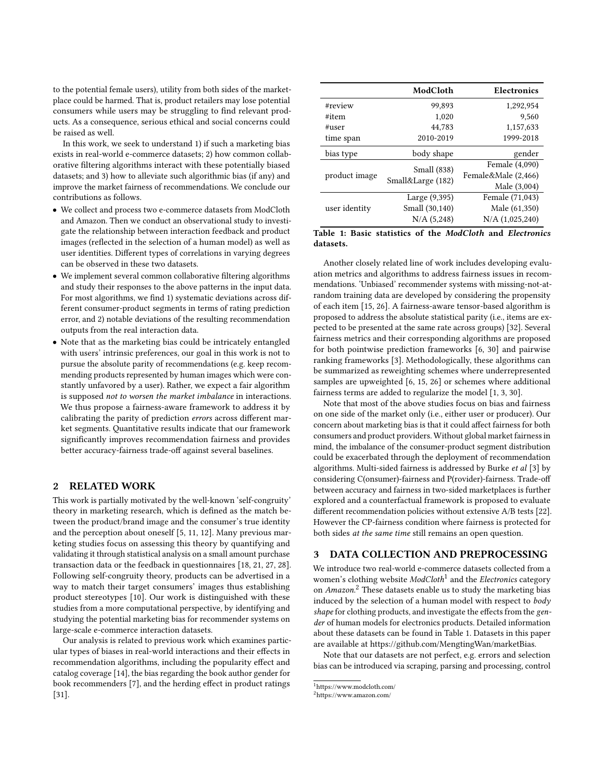to the potential female users), utility from both sides of the marketplace could be harmed. That is, product retailers may lose potential consumers while users may be struggling to find relevant products. As a consequence, serious ethical and social concerns could be raised as well.

In this work, we seek to understand 1) if such a marketing bias exists in real-world e-commerce datasets; 2) how common collaborative filtering algorithms interact with these potentially biased datasets; and 3) how to alleviate such algorithmic bias (if any) and improve the market fairness of recommendations. We conclude our contributions as follows.

- We collect and process two e-commerce datasets from ModCloth and Amazon. Then we conduct an observational study to investigate the relationship between interaction feedback and product images (reflected in the selection of a human model) as well as user identities. Different types of correlations in varying degrees can be observed in these two datasets.
- We implement several common collaborative filtering algorithms and study their responses to the above patterns in the input data. For most algorithms, we find 1) systematic deviations across different consumer-product segments in terms of rating prediction error, and 2) notable deviations of the resulting recommendation outputs from the real interaction data.
- Note that as the marketing bias could be intricately entangled with users' intrinsic preferences, our goal in this work is not to pursue the absolute parity of recommendations (e.g. keep recommending products represented by human images which were constantly unfavored by a user). Rather, we expect a fair algorithm is supposed not to worsen the market imbalance in interactions. We thus propose a fairness-aware framework to address it by calibrating the parity of prediction errors across different market segments. Quantitative results indicate that our framework significantly improves recommendation fairness and provides better accuracy-fairness trade-off against several baselines.

#### 2 RELATED WORK

This work is partially motivated by the well-known 'self-congruity' theory in marketing research, which is defined as the match between the product/brand image and the consumer's true identity and the perception about oneself [\[5,](#page-8-9) [11,](#page-8-10) [12\]](#page-8-11). Many previous marketing studies focus on assessing this theory by quantifying and validating it through statistical analysis on a small amount purchase transaction data or the feedback in questionnaires [\[18,](#page-8-12) [21,](#page-8-13) [27,](#page-8-14) [28\]](#page-8-15). Following self-congruity theory, products can be advertised in a way to match their target consumers' images thus establishing product stereotypes [\[10\]](#page-8-16). Our work is distinguished with these studies from a more computational perspective, by identifying and studying the potential marketing bias for recommender systems on large-scale e-commerce interaction datasets.

Our analysis is related to previous work which examines particular types of biases in real-world interactions and their effects in recommendation algorithms, including the popularity effect and catalog coverage [\[14\]](#page-8-17), the bias regarding the book author gender for book recommenders [\[7\]](#page-8-18), and the herding effect in product ratings [\[31\]](#page-8-19).

<span id="page-1-0"></span>

|               | ModCloth          | <b>Electronics</b>  |  |  |
|---------------|-------------------|---------------------|--|--|
| #review       | 99,893            | 1,292,954           |  |  |
| #item         | 1,020             | 9,560               |  |  |
| #user         | 44.783            | 1,157,633           |  |  |
| time span     | 2010-2019         | 1999-2018           |  |  |
| bias type     | body shape        | gender              |  |  |
|               | Small (838)       | Female (4,090)      |  |  |
| product image |                   | Female&Male (2,466) |  |  |
|               | Small&Large (182) | Male (3,004)        |  |  |
|               | Large (9,395)     | Female (71,043)     |  |  |
| user identity | Small (30,140)    | Male (61,350)       |  |  |
|               | N/A (5,248)       | $N/A$ $(1,025,240)$ |  |  |

Table 1: Basic statistics of the ModCloth and Electronics datasets.

Another closely related line of work includes developing evaluation metrics and algorithms to address fairness issues in recommendations. 'Unbiased' recommender systems with missing-not-atrandom training data are developed by considering the propensity of each item [\[15,](#page-8-20) [26\]](#page-8-5). A fairness-aware tensor-based algorithm is proposed to address the absolute statistical parity (i.e., items are expected to be presented at the same rate across groups) [\[32\]](#page-8-21). Several fairness metrics and their corresponding algorithms are proposed for both pointwise prediction frameworks [\[6,](#page-8-8) [30\]](#page-8-22) and pairwise ranking frameworks [\[3\]](#page-8-7). Methodologically, these algorithms can be summarized as reweighting schemes where underrepresented samples are upweighted [\[6,](#page-8-8) [15,](#page-8-20) [26\]](#page-8-5) or schemes where additional fairness terms are added to regularize the model [\[1,](#page-8-23) [3,](#page-8-7) [30\]](#page-8-22).

Note that most of the above studies focus on bias and fairness on one side of the market only (i.e., either user or producer). Our concern about marketing bias is that it could affect fairness for both consumers and product providers. Without global market fairness in mind, the imbalance of the consumer-product segment distribution could be exacerbated through the deployment of recommendation algorithms. Multi-sided fairness is addressed by Burke et al [\[3\]](#page-8-7) by considering C(onsumer)-fairness and P(rovider)-fairness. Trade-off between accuracy and fairness in two-sided marketplaces is further explored and a counterfactual framework is proposed to evaluate different recommendation policies without extensive A/B tests [\[22\]](#page-8-24). However the CP-fairness condition where fairness is protected for both sides at the same time still remains an open question.

#### DATA COLLECTION AND PREPROCESSING

We introduce two real-world e-commerce datasets collected from a women's clothing website ModCloth<sup>[1](#page-0-1)</sup> and the Electronics category on Amazon.<sup>[2](#page-0-1)</sup> These datasets enable us to study the marketing bias induced by the selection of a human model with respect to body shape for clothing products, and investigate the effects from the gender of human models for electronics products. Detailed information about these datasets can be found in Table [1.](#page-1-0) Datasets in this paper are available at [https://github.com/MengtingWan/marketBias.](https://github.com/MengtingWan/marketBias)

Note that our datasets are not perfect, e.g. errors and selection bias can be introduced via scraping, parsing and processing, control

<sup>1</sup><https://www.modcloth.com/>

<sup>2</sup><https://www.amazon.com/>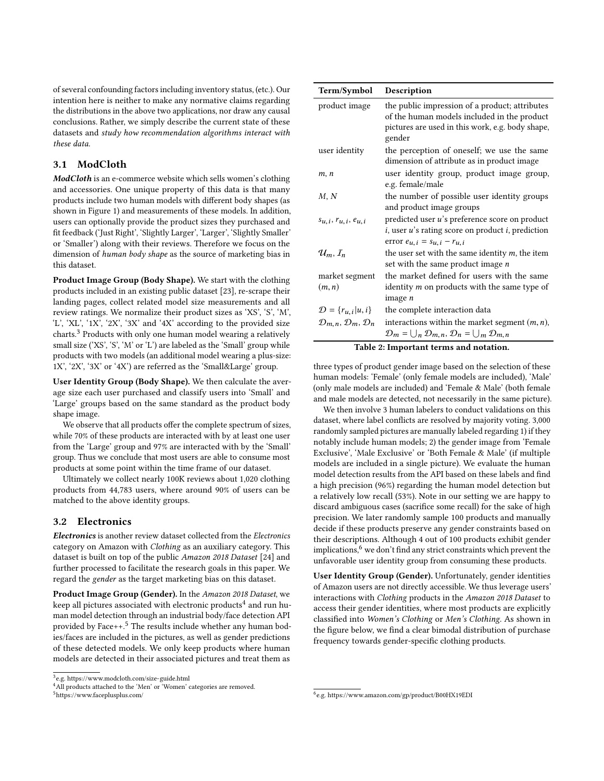of several confounding factors including inventory status, (etc.). Our intention here is neither to make any normative claims regarding the distributions in the above two applications, nor draw any causal conclusions. Rather, we simply describe the current state of these datasets and study how recommendation algorithms interact with these data.

## 3.1 ModCloth

ModCloth is an e-commerce website which sells women's clothing and accessories. One unique property of this data is that many products include two human models with different body shapes (as shown in Figure [1\)](#page-0-0) and measurements of these models. In addition, users can optionally provide the product sizes they purchased and fit feedback ('Just Right', 'Slightly Larger', 'Larger', 'Slightly Smaller' or 'Smaller') along with their reviews. Therefore we focus on the dimension of human body shape as the source of marketing bias in this dataset.

Product Image Group (Body Shape). We start with the clothing products included in an existing public dataset [\[23\]](#page-8-25), re-scrape their landing pages, collect related model size measurements and all review ratings. We normalize their product sizes as 'XS', 'S', 'M', 'L', 'XL', '1X', '2X', '3X' and '4X' according to the provided size charts.[3](#page-0-1) Products with only one human model wearing a relatively small size ('XS', 'S', 'M' or 'L') are labeled as the 'Small' group while products with two models (an additional model wearing a plus-size: 1X', '2X', '3X' or '4X') are referred as the 'Small&Large' group.

User Identity Group (Body Shape). We then calculate the average size each user purchased and classify users into 'Small' and 'Large' groups based on the same standard as the product body shape image.

We observe that all products offer the complete spectrum of sizes, while 70% of these products are interacted with by at least one user from the 'Large' group and 97% are interacted with by the 'Small' group. Thus we conclude that most users are able to consume most products at some point within the time frame of our dataset.

Ultimately we collect nearly 100K reviews about 1,020 clothing products from 44,783 users, where around 90% of users can be matched to the above identity groups.

## 3.2 Electronics

Electronics is another review dataset collected from the Electronics category on Amazon with Clothing as an auxiliary category. This dataset is built on top of the public Amazon 2018 Dataset [\[24\]](#page-8-26) and further processed to facilitate the research goals in this paper. We regard the gender as the target marketing bias on this dataset.

Product Image Group (Gender). In the Amazon 2018 Dataset, we keep all pictures associated with electronic products $^4$  $^4$  and run human model detection through an industrial body/face detection API provided by Face $++$ <sup>[5](#page-0-1)</sup>. The results include whether any human bodies/faces are included in the pictures, as well as gender predictions of these detected models. We only keep products where human models are detected in their associated pictures and treat them as



<sup>&</sup>lt;sup>4</sup>All products attached to the 'Men' or 'Women' categories are removed.

<sup>5</sup><https://www.faceplusplus.com/>

<span id="page-2-0"></span>

| Term/Symbol                                       | Description                                                                                                                                                 |  |  |  |  |  |
|---------------------------------------------------|-------------------------------------------------------------------------------------------------------------------------------------------------------------|--|--|--|--|--|
| product image                                     | the public impression of a product; attributes<br>of the human models included in the product<br>pictures are used in this work, e.g. body shape,<br>gender |  |  |  |  |  |
| user identity                                     | the perception of oneself; we use the same<br>dimension of attribute as in product image                                                                    |  |  |  |  |  |
| m, n                                              | user identity group, product image group,<br>e.g. female/male                                                                                               |  |  |  |  |  |
| M, N                                              | the number of possible user identity groups<br>and product image groups                                                                                     |  |  |  |  |  |
| $s_{u,i}, r_{u,i}, e_{u,i}$                       | predicted user u's preference score on product<br>$i$ , user $u$ 's rating score on product $i$ , prediction<br>error $e_{u,i} = s_{u,i} - r_{u,i}$         |  |  |  |  |  |
| $\mathcal{U}_m, I_n$                              | the user set with the same identity $m$ , the item<br>set with the same product image $n$                                                                   |  |  |  |  |  |
| market segment                                    | the market defined for users with the same                                                                                                                  |  |  |  |  |  |
| (m, n)                                            | identity <i>m</i> on products with the same type of<br>image <i>n</i>                                                                                       |  |  |  |  |  |
| $\mathcal{D} = \{r_{u,i}   u, i\}$                | the complete interaction data                                                                                                                               |  |  |  |  |  |
| $\mathcal{D}_{m,n}, \mathcal{D}_m, \mathcal{D}_n$ | interactions within the market segment $(m, n)$ ,                                                                                                           |  |  |  |  |  |
|                                                   | $\mathcal{D}_m = \bigcup_n \mathcal{D}_{m,n}, \mathcal{D}_n = \bigcup_m \mathcal{D}_{m,n}$                                                                  |  |  |  |  |  |
| Table 2: Important terms and notation.            |                                                                                                                                                             |  |  |  |  |  |

three types of product gender image based on the selection of these human models: 'Female' (only female models are included), 'Male' (only male models are included) and 'Female & Male' (both female and male models are detected, not necessarily in the same picture).

We then involve 3 human labelers to conduct validations on this dataset, where label conflicts are resolved by majority voting. 3,000 randomly sampled pictures are manually labeled regarding 1) if they notably include human models; 2) the gender image from 'Female Exclusive', 'Male Exclusive' or 'Both Female & Male' (if multiple models are included in a single picture). We evaluate the human model detection results from the API based on these labels and find a high precision (96%) regarding the human model detection but a relatively low recall (53%). Note in our setting we are happy to discard ambiguous cases (sacrifice some recall) for the sake of high precision. We later randomly sample 100 products and manually decide if these products preserve any gender constraints based on their descriptions. Although 4 out of 100 products exhibit gender implications, $6$  we don't find any strict constraints which prevent the unfavorable user identity group from consuming these products.

User Identity Group (Gender). Unfortunately, gender identities of Amazon users are not directly accessible. We thus leverage users' interactions with Clothing products in the Amazon 2018 Dataset to access their gender identities, where most products are explicitly classified into Women's Clothing or Men's Clothing. As shown in the figure below, we find a clear bimodal distribution of purchase frequency towards gender-specific clothing products.

<sup>6</sup> e.g.<https://www.amazon.com/gp/product/B00HX19EDI>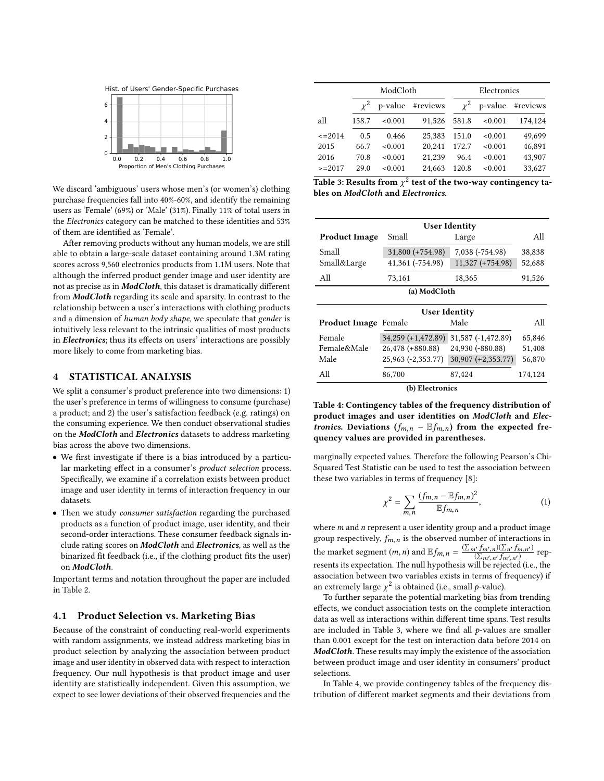

We discard 'ambiguous' users whose men's (or women's) clothing purchase frequencies fall into 40%-60%, and identify the remaining users as 'Female' (69%) or 'Male' (31%). Finally 11% of total users in the Electronics category can be matched to these identities and 53% of them are identified as 'Female'.

After removing products without any human models, we are still able to obtain a large-scale dataset containing around 1.3M rating scores across 9,560 electronics products from 1.1M users. Note that although the inferred product gender image and user identity are not as precise as in ModCloth, this dataset is dramatically different from ModCloth regarding its scale and sparsity. In contrast to the relationship between a user's interactions with clothing products and a dimension of human body shape, we speculate that gender is intuitively less relevant to the intrinsic qualities of most products in Electronics; thus its effects on users' interactions are possibly more likely to come from marketing bias.

#### <span id="page-3-2"></span>4 STATISTICAL ANALYSIS

We split a consumer's product preference into two dimensions: 1) the user's preference in terms of willingness to consume (purchase) a product; and 2) the user's satisfaction feedback (e.g. ratings) on the consuming experience. We then conduct observational studies on the ModCloth and Electronics datasets to address marketing bias across the above two dimensions.

- We first investigate if there is a bias introduced by a particular marketing effect in a consumer's product selection process. Specifically, we examine if a correlation exists between product image and user identity in terms of interaction frequency in our datasets.
- Then we study consumer satisfaction regarding the purchased products as a function of product image, user identity, and their second-order interactions. These consumer feedback signals include rating scores on ModCloth and Electronics, as well as the binarized fit feedback (i.e., if the clothing product fits the user) on ModCloth.

Important terms and notation throughout the paper are included in Table [2.](#page-2-0)

#### 4.1 Product Selection vs. Marketing Bias

Because of the constraint of conducting real-world experiments with random assignments, we instead address marketing bias in product selection by analyzing the association between product image and user identity in observed data with respect to interaction frequency. Our null hypothesis is that product image and user identity are statistically independent. Given this assumption, we expect to see lower deviations of their observed frequencies and the

<span id="page-3-0"></span>

|               |            | ModCloth            |        | Electronics |         |          |  |  |  |
|---------------|------------|---------------------|--------|-------------|---------|----------|--|--|--|
|               | $\gamma^2$ | p-value<br>#reviews |        | $\chi^2$    | p-value | #reviews |  |  |  |
| all           | 158.7      | < 0.001             | 91.526 | 581.8       | < 0.001 | 174,124  |  |  |  |
| $\leq$ = 2014 | 0.5        | 0.466               | 25.383 | 151.0       | < 0.001 | 49.699   |  |  |  |
| 2015          | 66.7       | < 0.001             | 20,241 | 172.7       | < 0.001 | 46,891   |  |  |  |
| 2016          | 70.8       | < 0.001             | 21.239 | 96.4        | < 0.001 | 43.907   |  |  |  |
| $>=2017$      | 29.0       | < 0.001             | 24,663 | 120.8       | < 0.001 | 33,627   |  |  |  |

Table 3: Results from  $\chi^2$  test of the two-way contingency ta-<br>bles on *ModCloth* and *Electronics* bles on ModCloth and Electronics.

<span id="page-3-1"></span>

| <b>User Identity</b> |                    |                  |        |  |  |  |  |  |  |
|----------------------|--------------------|------------------|--------|--|--|--|--|--|--|
| <b>Product Image</b> | Small              | All              |        |  |  |  |  |  |  |
| Small                | $31,800 (+754.98)$ | 7,038 (-754.98)  | 38,838 |  |  |  |  |  |  |
| Small&Large          | 41,361 (-754.98)   | 11,327 (+754.98) | 52,688 |  |  |  |  |  |  |
| All                  | 73,161             | 18,365           | 91,526 |  |  |  |  |  |  |
| (a) ModCloth         |                    |                  |        |  |  |  |  |  |  |
|                      |                    |                  |        |  |  |  |  |  |  |

| <b>User Identity</b>        |                                       |                      |         |  |  |  |  |  |  |  |
|-----------------------------|---------------------------------------|----------------------|---------|--|--|--|--|--|--|--|
| <b>Product Image Female</b> |                                       | Male                 | All     |  |  |  |  |  |  |  |
| Female                      | 34,259 (+1,472.89) 31,587 (-1,472.89) |                      | 65,846  |  |  |  |  |  |  |  |
| Female&Male                 | 26,478 (+880.88)                      | 24,930 (-880.88)     | 51,408  |  |  |  |  |  |  |  |
| Male                        | 25,963 (-2,353.77)                    | $30,907 (+2,353.77)$ | 56,870  |  |  |  |  |  |  |  |
| All                         | 86,700                                | 87,424               | 174,124 |  |  |  |  |  |  |  |
| (b) Electronics             |                                       |                      |         |  |  |  |  |  |  |  |

Table 4: Contingency tables of the frequency distribution of

product images and user identities on ModCloth and Electronics. Deviations  $(f_{m,n} - \mathbb{E} f_{m,n})$  from the expected frequency values are provided in parentheses.

marginally expected values. Therefore the following Pearson's Chi-Squared Test Statistic can be used to test the association between these two variables in terms of frequency [\[8\]](#page-8-27):

$$
\chi^{2} = \sum_{m,n} \frac{(f_{m,n} - \mathbb{E}f_{m,n})^{2}}{\mathbb{E}f_{m,n}},
$$
\n(1)

where  $m$  and  $n$  represent a user identity group and a product image group respectively,  $f_{m,n}$  is the observed number of interactions in the market segment  $(m, n)$  and  $\mathbb{E} f_{m,n} = \frac{\left(\sum_{m'} f_{m',n}\right)\left(\sum_{n'} f_{m,n'}\right)}{\left(\sum_{m',n'} f_{m',n'}\right)}$  represents its expectation. The pull hypothesis will be pointed (i.e., the resents its expectation. The null hypothesis will be rejected (i.e., the association between two variables exists in terms of frequency) if an extremely large  $\chi^2$  is obtained (i.e., small *p*-value).<br>To further separate the potential marketing bias fr

To further separate the potential marketing bias from trending effects, we conduct association tests on the complete interaction data as well as interactions within different time spans. Test results are included in Table [3,](#page-3-0) where we find all  $p$ -values are smaller than 0.001 except for the test on interaction data before 2014 on ModCloth. These results may imply the existence of the association between product image and user identity in consumers' product selections.

In Table [4,](#page-3-1) we provide contingency tables of the frequency distribution of different market segments and their deviations from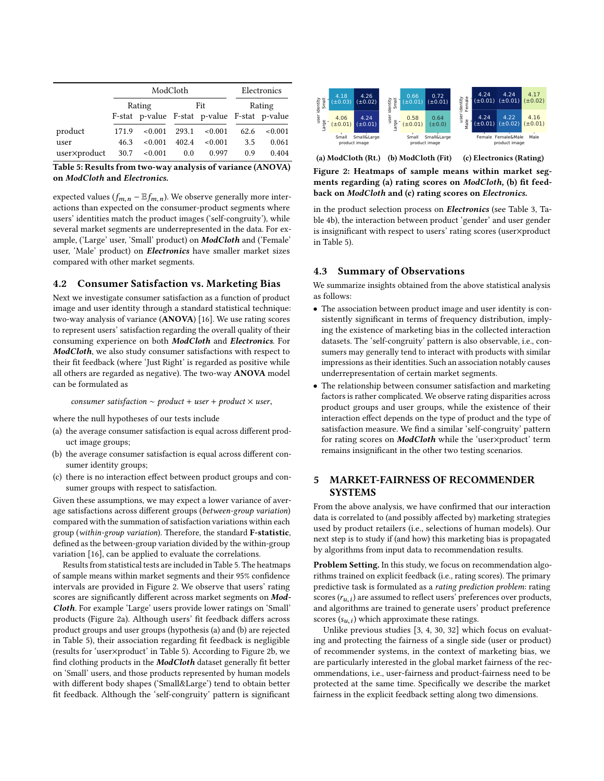<span id="page-4-0"></span>

|              |       | ModCloth | Electronics |                                              |        |         |  |
|--------------|-------|----------|-------------|----------------------------------------------|--------|---------|--|
|              |       | Rating   |             | Fit                                          | Rating |         |  |
|              |       |          |             | F-stat p-value F-stat p-value F-stat p-value |        |         |  |
| product      | 171.9 | < 0.001  | 293.1       | < 0.001                                      | 62.6   | < 0.001 |  |
| user         | 46.3  | < 0.001  | 402.4       | < 0.001                                      | 3.5    | 0.061   |  |
| user×product | 30.7  | < 0.001  | 0.0         | 0.997                                        | 0.9    | 0.404   |  |

Table 5: Results from two-way analysis of variance (ANOVA) on ModCloth and Electronics.

expected values ( $f_{m,n}$  –  $E f_{m,n}$ ). We observe generally more interactions than expected on the consumer-product segments where users' identities match the product images ('self-congruity'), while several market segments are underrepresented in the data. For example, ('Large' user, 'Small' product) on ModCloth and ('Female' user, 'Male' product) on **Electronics** have smaller market sizes compared with other market segments.

#### 4.2 Consumer Satisfaction vs. Marketing Bias

Next we investigate consumer satisfaction as a function of product image and user identity through a standard statistical technique: two-way analysis of variance (ANOVA) [\[16\]](#page-8-28). We use rating scores to represent users' satisfaction regarding the overall quality of their consuming experience on both ModCloth and Electronics. For ModCloth, we also study consumer satisfactions with respect to their fit feedback (where 'Just Right' is regarded as positive while all others are regarded as negative). The two-way ANOVA model can be formulated as

consumer satisfaction  $\sim$  product + user + product  $\times$  user,

where the null hypotheses of our tests include

- (a) the average consumer satisfaction is equal across different product image groups;
- (b) the average consumer satisfaction is equal across different consumer identity groups;
- (c) there is no interaction effect between product groups and consumer groups with respect to satisfaction.

Given these assumptions, we may expect a lower variance of average satisfactions across different groups (between-group variation) compared with the summation of satisfaction variations within each group (within-group variation). Therefore, the standard F-statistic, defined as the between-group variation divided by the within-group variation [\[16\]](#page-8-28), can be applied to evaluate the correlations.

Results from statistical tests are included in Table [5.](#page-4-0) The heatmaps of sample means within market segments and their 95% confidence intervals are provided in Figure [2.](#page-4-1) We observe that users' rating scores are significantly different across market segments on Mod-Cloth. For example 'Large' users provide lower ratings on 'Small' products (Figure [2a\)](#page-4-1). Although users' fit feedback differs across product groups and user groups (hypothesis (a) and (b) are rejected in Table [5\)](#page-4-0), their association regarding fit feedback is negligible (results for 'user×product' in Table [5\)](#page-4-0). According to Figure [2b,](#page-4-1) we find clothing products in the ModCloth dataset generally fit better on 'Small' users, and those products represented by human models with different body shapes ('Small&Large') tend to obtain better fit feedback. Although the 'self-congruity' pattern is significant

<span id="page-4-1"></span>

(a) ModCloth (Rt.) (b) ModCloth (Fit) (c) Electronics (Rating)

Figure 2: Heatmaps of sample means within market segments regarding (a) rating scores on ModCloth, (b) fit feedback on ModCloth and (c) rating scores on Electronics.

in the product selection process on Electronics (see Table [3,](#page-3-0) Table [4b\)](#page-3-1), the interaction between product 'gender' and user gender is insignificant with respect to users' rating scores (user×product in Table [5\)](#page-4-0).

### 4.3 Summary of Observations

We summarize insights obtained from the above statistical analysis as follows:

- The association between product image and user identity is consistently significant in terms of frequency distribution, implying the existence of marketing bias in the collected interaction datasets. The 'self-congruity' pattern is also observable, i.e., consumers may generally tend to interact with products with similar impressions as their identities. Such an association notably causes underrepresentation of certain market segments.
- The relationship between consumer satisfaction and marketing factors is rather complicated. We observe rating disparities across product groups and user groups, while the existence of their interaction effect depends on the type of product and the type of satisfaction measure. We find a similar 'self-congruity' pattern for rating scores on ModCloth while the 'user×product' term remains insignificant in the other two testing scenarios.

# <span id="page-4-2"></span>5 MARKET-FAIRNESS OF RECOMMENDER **SYSTEMS**

From the above analysis, we have confirmed that our interaction data is correlated to (and possibly affected by) marketing strategies used by product retailers (i.e., selections of human models). Our next step is to study if (and how) this marketing bias is propagated by algorithms from input data to recommendation results.

Problem Setting. In this study, we focus on recommendation algorithms trained on explicit feedback (i.e., rating scores). The primary predictive task is formulated as a rating prediction problem: rating scores  $(r_{u,i})$  are assumed to reflect users' preferences over products,<br>and algorithms are trained to generate users' product preference and algorithms are trained to generate users' product preference scores  $(s_{u,i})$  which approximate these ratings.<br>
Unlike previous studies  $\begin{bmatrix} 3 & 4 & 30 & 32 \end{bmatrix}$  which

Unlike previous studies [\[3,](#page-8-7) [4,](#page-8-29) [30,](#page-8-22) [32\]](#page-8-21) which focus on evaluating and protecting the fairness of a single side (user or product) of recommender systems, in the context of marketing bias, we are particularly interested in the global market fairness of the recommendations, i.e., user-fairness and product-fairness need to be protected at the same time. Specifically we describe the market fairness in the explicit feedback setting along two dimensions.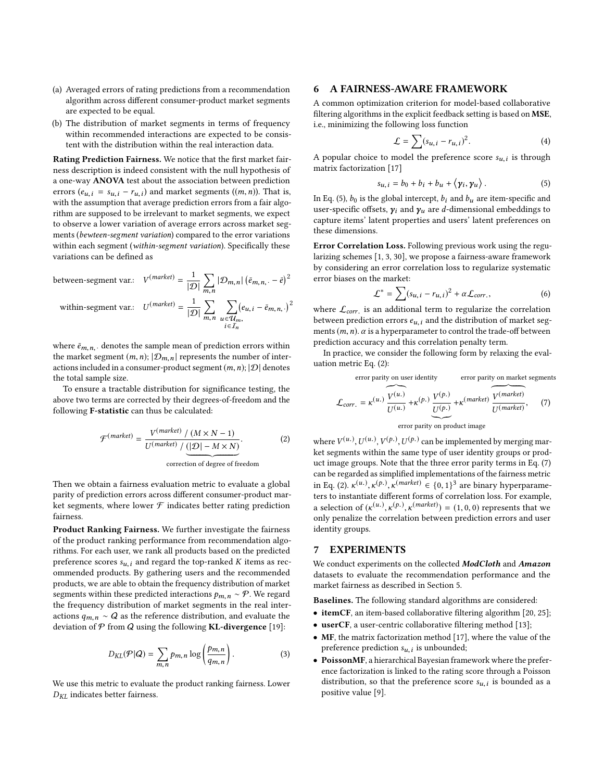- (a) Averaged errors of rating predictions from a recommendation algorithm across different consumer-product market segments are expected to be equal.
- (b) The distribution of market segments in terms of frequency within recommended interactions are expected to be consistent with the distribution within the real interaction data.

Rating Prediction Fairness. We notice that the first market fairness description is indeed consistent with the null hypothesis of a one-way ANOVA test about the association between prediction errors  $(e_{u,i} = s_{u,i} - r_{u,i})$  and market segments  $((m,n))$ . That is,<br>with the assumption that average prediction errors from a fair algowith the assumption that average prediction errors from a fair algorithm are supposed to be irrelevant to market segments, we expect to observe a lower variation of average errors across market segments (bewteen-segment variation) compared to the error variations within each segment (within-segment variation). Specifically these variations can be defined as

between-segment var.: 
$$
V^{(market)} = \frac{1}{|\mathcal{D}|} \sum_{m,n} |\mathcal{D}_{m,n}| (\bar{e}_{m,n,-} - \bar{e})^2
$$
  
within-segment var.:  $U^{(market)} = \frac{1}{|\mathcal{D}|} \sum_{m,n} \sum_{\substack{u \in \mathcal{U}_m, \\ i \in I_n}} (e_{u,i} - \bar{e}_{m,n,-})^2$ 

where  $\bar{e}_{m,n}$ , denotes the sample mean of prediction errors within the market segment  $(m, n)$ ;  $|\mathcal{D}_{m,n}|$  represents the number of interactions included in a consumer-product segment  $(m, n)$ ;  $|\mathcal{D}|$  denotes the total sample size.

To ensure a tractable distribution for significance testing, the above two terms are corrected by their degrees-of-freedom and the following F-statistic can thus be calculated:

<span id="page-5-1"></span>
$$
\mathcal{F}^{(market)} = \frac{V^{(market)} / (M \times N - 1)}{U^{(market)} / (1D) - M \times N)}
$$
correction of degree of freedom (2)

Then we obtain a fairness evaluation metric to evaluate a global parity of prediction errors across different consumer-product market segments, where lower  $\mathcal F$  indicates better rating prediction fairness.

Product Ranking Fairness. We further investigate the fairness of the product ranking performance from recommendation algorithms. For each user, we rank all products based on the predicted preference scores  $s_{u,i}$  and regard the top-ranked K items as recommended products. By gathering users and the recommended products, we are able to obtain the frequency distribution of market segments within these predicted interactions  $p_{m,n} \sim \mathcal{P}$ . We regard the frequency distribution of market segments in the real interactions  $q_{m,n} \sim Q$  as the reference distribution, and evaluate the deviation of  $P$  from  $Q$  using the following **KL-divergence** [\[19\]](#page-8-30):

<span id="page-5-3"></span>
$$
D_{KL}(\mathcal{P}|\mathcal{Q}) = \sum_{m,n} p_{m,n} \log \left( \frac{p_{m,n}}{q_{m,n}} \right). \tag{3}
$$

We use this metric to evaluate the product ranking fairness. Lower  $D_{KL}$  indicates better fairness.

#### 6 A FAIRNESS-AWARE FRAMEWORK

A common optimization criterion for model-based collaborative filtering algorithms in the explicit feedback setting is based on MSE, i.e., minimizing the following loss function

$$
\mathcal{L} = \sum (s_{u,i} - r_{u,i})^2.
$$
 (4)

A popular choice to model the preference score  $s_{u,i}$  is through matrix factorization [17] matrix factorization [\[17\]](#page-8-2)

<span id="page-5-0"></span>
$$
s_{u,i} = b_0 + b_i + b_u + \langle \gamma_i, \gamma_u \rangle. \tag{5}
$$

In Eq. [\(5\)](#page-5-0),  $b_0$  is the global intercept,  $b_i$  and  $b_u$  are item-specific and user-specific offsets,  $\gamma_i$  and  $\gamma_u$  are d-dimensional embeddings to capture items' latent properties and users' latent preferences on these dimensions.

Error Correlation Loss. Following previous work using the regularizing schemes [\[1,](#page-8-23) [3,](#page-8-7) [30\]](#page-8-22), we propose a fairness-aware framework by considering an error correlation loss to regularize systematic error biases on the market:

$$
\mathcal{L}^* = \sum (s_{u,i} - r_{u,i})^2 + \alpha \mathcal{L}_{corr.},
$$
 (6)

where  $\mathcal{L}_{corr}$  is an additional term to regularize the correlation<br>between prodiction errors  $\epsilon_{\text{eff}}$  and the distribution of market sex between prediction errors  $e_{u,i}$  and the distribution of market segments  $(m, n)$ .  $\alpha$  is a hyperparameter to control the trade-off between prediction accuracy and this correlation penalty term.

In practice, we consider the following form by relaxing the evaluation metric Eq. [\(2\)](#page-5-1):

error parity on user identity

<span id="page-5-2"></span>error parity on user identity error parity on market segments  
\n
$$
\mathcal{L}_{corr.} = \kappa^{(u.)} \underbrace{\overbrace{V^{(u.)}}^{V(\mu)}}_{U(u.)} + \kappa^{(p.)} \underbrace{\overbrace{V^{(p.)}}^{V(market)}}_{U(f.)} + \kappa^{(market)}, \qquad (7)
$$

error parity on product image

where  $V^{(u)}$ ,  $U^{(u)}$ ,  $V^{(p)}$ ,  $U^{(p)}$  can be implemented by merging mar-<br>let segments within the same type of user identity groups or prodhttp://www.com/sitestation.com/sitestation.com/sitestation.com/sitestation.com/sitestation.com/sitestation.com/ uct image groups. Note that the three error parity terms in Eq. [\(7\)](#page-5-2) can be regarded as simplified implementations of the fairness metric in Eq. [\(2\)](#page-5-1).  $\kappa^{(u)}$ ,  $\kappa^{(p.)}$ ,  $\kappa^{(market)} \in \{0, 1\}^3$  are binary hyperparame-<br>ters to instantiate different forms of correlation loss. For example ters to instantiate different forms of correlation loss. For example, a selection of  $(\kappa^{(u)}), \kappa^{(p)}), \kappa^{(market)}$  = (1, 0, 0) represents that we only panalize the correlation between prediction errors and user only penalize the correlation between prediction errors and user identity groups.

## 7 EXPERIMENTS

We conduct experiments on the collected ModCloth and Amazon datasets to evaluate the recommendation performance and the market fairness as described in Section [5.](#page-4-2)

Baselines. The following standard algorithms are considered:

- itemCF, an item-based collaborative filtering algorithm [\[20,](#page-8-3) [25\]](#page-8-4);
- userCF, a user-centric collaborative filtering method [\[13\]](#page-8-1);
- MF, the matrix factorization method [\[17\]](#page-8-2), where the value of the preference prediction  $s_{u,i}$  is unbounded;<br>Defense ME a history distribution from
- PoissonMF, a hierarchical Bayesian framework where the preference factorization is linked to the rating score through a Poisson distribution, so that the preference score  $s_{u,i}$  is bounded as a nositive value  $[0]$ positive value [\[9\]](#page-8-31).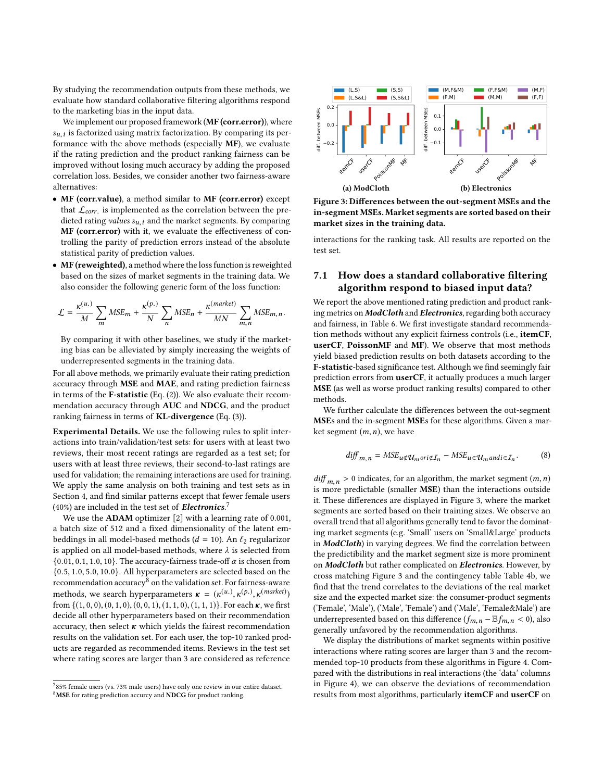By studying the recommendation outputs from these methods, we evaluate how standard collaborative filtering algorithms respond to the marketing bias in the input data.

We implement our proposed framework (MF (corr.error)), where  $s_{u,i}$  is tactorized using matrix factorization. By comparing its performance with the above methods (especially  $\textbf{MF}$ ), we evaluate  $s_{u,i}$  is factorized using matrix factorization. By comparing its perif the rating prediction and the product ranking fairness can be improved without losing much accuracy by adding the proposed correlation loss. Besides, we consider another two fairness-aware alternatives:

- MF (corr.value), a method similar to MF (corr.error) except that  $\mathcal{L}_{corr}$  is implemented as the correlation between the pre-<br>dicted rating values source the market segments. By comparing dicted rating *values*  $s_{u,i}$  and the market segments. By comparing MF (corr.error) with it, we evaluate the effectiveness of controlling the parity of prediction errors instead of the absolute statistical parity of prediction values.
- MF (reweighted), a method where the loss function is reweighted based on the sizes of market segments in the training data. We also consider the following generic form of the loss function:

$$
\mathcal{L} = \frac{\kappa^{(u.)}}{M} \sum_{m} MSE_{m} + \frac{\kappa^{(p.)}}{N} \sum_{n} MSE_{n} + \frac{\kappa^{(market)}}{MN} \sum_{m,n} MSE_{m,n}.
$$

By comparing it with other baselines, we study if the marketing bias can be alleviated by simply increasing the weights of underrepresented segments in the training data.

For all above methods, we primarily evaluate their rating prediction accuracy through MSE and MAE, and rating prediction fairness in terms of the F-statistic (Eq. [\(2\)](#page-5-1)). We also evaluate their recommendation accuracy through AUC and NDCG, and the product ranking fairness in terms of KL-divergence (Eq. [\(3\)](#page-5-3)).

Experimental Details. We use the following rules to split interactions into train/validation/test sets: for users with at least two reviews, their most recent ratings are regarded as a test set; for users with at least three reviews, their second-to-last ratings are used for validation; the remaining interactions are used for training. We apply the same analysis on both training and test sets as in Section [4,](#page-3-2) and find similar patterns except that fewer female users (40%) are included in the test set of **Electronics**.<sup>[7](#page-0-1)</sup>

We use the ADAM optimizer [\[2\]](#page-8-32) with a learning rate of 0.001, a batch size of 512 and a fixed dimensionality of the latent embeddings in all model-based methods ( $d = 10$ ). An  $\ell_2$  regularizor is applied on all model-based methods, where  $\lambda$  is selected from  $\{0.01, 0.1, 1.0, 10\}$ . The accuracy-fairness trade-off  $\alpha$  is chosen from {0.5, <sup>1</sup>.0, <sup>5</sup>.0, <sup>10</sup>.0}. All hyperparameters are selected based on the recommendation accuracy<sup>[8](#page-0-1)</sup> on the validation set. For fairness-aware methods, we search hyperparameters  $\mathbf{r} = (\kappa^{(u_1)}, \kappa^{(p_1)}, \kappa^{(market)})$ <br>from  $f(1, 0, 0), (0, 1, 0), (0, 0, 1), (1, 1, 0), (1, 1, 1)$ . For each  $\mathbf{r}$  we first from  $\{(1, 0, 0), (0, 1, 0), (0, 0, 1), (1, 1, 0), (1, 1, 1)\}$ . For each  $\kappa$ , we first decide all other hyperparameters based on their recommendation accuracy, then select  $\kappa$  which yields the fairest recommendation results on the validation set. For each user, the top-10 ranked products are regarded as recommended items. Reviews in the test set where rating scores are larger than 3 are considered as reference

<span id="page-6-0"></span>

Figure 3: Differences between the out-segment MSEs and the in-segment MSEs. Market segments are sorted based on their market sizes in the training data.

interactions for the ranking task. All results are reported on the test set.

# 7.1 How does a standard collaborative filtering algorithm respond to biased input data?

We report the above mentioned rating prediction and product ranking metrics on **ModCloth** and **Electronics**, regarding both accuracy and fairness, in Table [6.](#page-8-33) We first investigate standard recommendation methods without any explicit fairness controls (i.e., itemCF, userCF, PoissonMF and MF). We observe that most methods yield biased prediction results on both datasets according to the F-statistic-based significance test. Although we find seemingly fair prediction errors from userCF, it actually produces a much larger MSE (as well as worse product ranking results) compared to other methods.

We further calculate the differences between the out-segment MSEs and the in-segment MSEs for these algorithms. Given a market segment  $(m, n)$ , we have

$$
diff_{m,n} = MSE_{u \notin \mathcal{U}_m \circ ri \notin \mathcal{I}_n} - MSE_{u \in \mathcal{U}_m \text{and } i \in \mathcal{I}_n}.
$$
 (8)

 $diff_{m,n} > 0$  indicates, for an algorithm, the market segment  $(m, n)$ is more predictable (smaller MSE) than the interactions outside it. These differences are displayed in Figure [3,](#page-6-0) where the market segments are sorted based on their training sizes. We observe an overall trend that all algorithms generally tend to favor the dominating market segments (e.g. 'Small' users on 'Small&Large' products in **ModCloth**) in varying degrees. We find the correlation between the predictibility and the market segment size is more prominent on ModCloth but rather complicated on Electronics. However, by cross matching Figure [3](#page-6-0) and the contingency table Table [4b,](#page-3-1) we find that the trend correlates to the deviations of the real market size and the expected market size: the consumer-product segments ('Female', 'Male'), ('Male', 'Female') and ('Male', 'Female&Male') are underrepresented based on this difference  $(f_{m,n} - \mathbb{E} f_{m,n} < 0)$ , also generally unfavored by the recommendation algorithms.

We display the distributions of market segments within positive interactions where rating scores are larger than 3 and the recommended top-10 products from these algorithms in Figure [4.](#page-7-0) Compared with the distributions in real interactions (the 'data' columns in Figure [4\)](#page-7-0), we can observe the deviations of recommendation results from most algorithms, particularly itemCF and userCF on

 $785\%$  female users (vs. 73% male users) have only one review in our entire dataset. <sup>8</sup>MSE for rating prediction accurcy and NDCG for product ranking.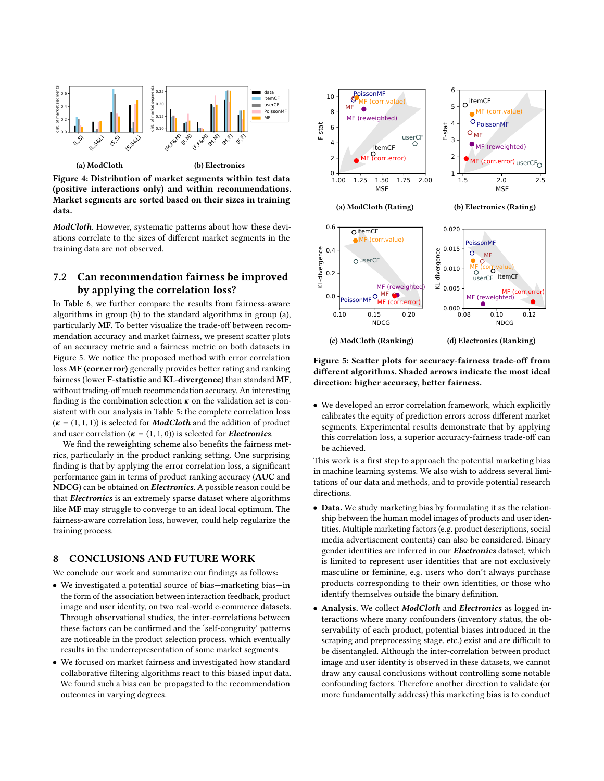<span id="page-7-0"></span>

Figure 4: Distribution of market segments within test data (positive interactions only) and within recommendations. Market segments are sorted based on their sizes in training data.

ModCloth. However, systematic patterns about how these deviations correlate to the sizes of different market segments in the training data are not observed.

## 7.2 Can recommendation fairness be improved by applying the correlation loss?

In Table [6,](#page-8-33) we further compare the results from fairness-aware algorithms in group (b) to the standard algorithms in group (a), particularly MF. To better visualize the trade-off between recommendation accuracy and market fairness, we present scatter plots of an accuracy metric and a fairness metric on both datasets in Figure [5.](#page-7-1) We notice the proposed method with error correlation loss MF (corr.error) generally provides better rating and ranking fairness (lower F-statistic and KL-divergence) than standard MF, without trading-off much recommendation accuracy. An interesting finding is the combination selection  $\kappa$  on the validation set is consistent with our analysis in Table [5:](#page-4-0) the complete correlation loss  $(k = (1, 1, 1))$  is selected for **ModCloth** and the addition of product and user correlation ( $\kappa = (1, 1, 0)$ ) is selected for *Electronics*.

We find the reweighting scheme also benefits the fairness metrics, particularly in the product ranking setting. One surprising finding is that by applying the error correlation loss, a significant performance gain in terms of product ranking accuracy (AUC and NDCG) can be obtained on Electronics. A possible reason could be that **Electronics** is an extremely sparse dataset where algorithms like MF may struggle to converge to an ideal local optimum. The fairness-aware correlation loss, however, could help regularize the training process.

## 8 CONCLUSIONS AND FUTURE WORK

We conclude our work and summarize our findings as follows:

- We investigated a potential source of bias—marketing bias—in the form of the association between interaction feedback, product image and user identity, on two real-world e-commerce datasets. Through observational studies, the inter-correlations between these factors can be confirmed and the 'self-congruity' patterns are noticeable in the product selection process, which eventually results in the underrepresentation of some market segments.
- We focused on market fairness and investigated how standard collaborative filtering algorithms react to this biased input data. We found such a bias can be propagated to the recommendation outcomes in varying degrees.

<span id="page-7-1"></span>

Figure 5: Scatter plots for accuracy-fairness trade-off from different algorithms. Shaded arrows indicate the most ideal direction: higher accuracy, better fairness.

• We developed an error correlation framework, which explicitly calibrates the equity of prediction errors across different market segments. Experimental results demonstrate that by applying this correlation loss, a superior accuracy-fairness trade-off can be achieved.

This work is a first step to approach the potential marketing bias in machine learning systems. We also wish to address several limitations of our data and methods, and to provide potential research directions.

- Data. We study marketing bias by formulating it as the relationship between the human model images of products and user identities. Multiple marketing factors (e.g. product descriptions, social media advertisement contents) can also be considered. Binary gender identities are inferred in our **Electronics** dataset, which is limited to represent user identities that are not exclusively masculine or feminine, e.g. users who don't always purchase products corresponding to their own identities, or those who identify themselves outside the binary definition.
- Analysis. We collect ModCloth and Electronics as logged interactions where many confounders (inventory status, the observability of each product, potential biases introduced in the scraping and preprocessing stage, etc.) exist and are difficult to be disentangled. Although the inter-correlation between product image and user identity is observed in these datasets, we cannot draw any causal conclusions without controlling some notable confounding factors. Therefore another direction to validate (or more fundamentally address) this marketing bias is to conduct